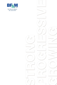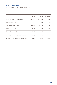# 2015 Highlights

FOR THE SIX MONTHS ENDED 30 JUNE 2015 AND 2014

|                                           | 2015      | 2014      | % Change  |
|-------------------------------------------|-----------|-----------|-----------|
| Gross Premiums Written (in \$000's)       | \$181,155 | \$184,694 | $(1.9\%)$ |
| Net Income (in \$000's)                   | \$11,420  | \$17,494  | (34.7%)   |
| Cash Dividends (in \$000's)               | \$3,823   | \$3,614   | 5.8%      |
| Net Earnings per Share                    | \$1.32    | \$2.04    | (35.6%)   |
| Cash Dividends per Share                  | \$0.44    | \$0.42    | 4.8%      |
| Annualised Return on General Fund Assets  | $2.0\%$   | $3.0\%$   | (33.6%)   |
| Annualised Return on Shareholders' Equity | $9.8\%$   | 14.4%     | (31.9%)   |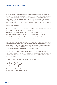### Report to Shareholders

We are pleased to present the unaudited financial statements for BF&M Limited for the half year to 30 June 2015. Consolidated shareholders' net income for the first six months was \$11.4 million. Shareholders' net income for the comparable period in 2014 was \$17.5 million. These 2015 results represent an annualised 9.8% return on equity for shareholders. At 30 June 2015, general fund assets totaled \$1.1 billion and shareholders' equity was \$248.8 million. Based on the Company's strong balance sheet and six month results, the Board of Directors declared and maintained the dividend of 22c per share for shareholders of record at 30 September 2015.

We were pleased that A.M. Best announced that it had affirmed the financial strength ratings for BF&M's four principal operating companies:

| BF&M General Insurance Company Limited    | A (Excellent)  | Bermuda         |
|-------------------------------------------|----------------|-----------------|
| BF&M Life Insurance Company Limited       | A (Excellent)  | Bermuda         |
| Island Heritage Insurance Company Ltd.    | A (Excellent)  | Cayman          |
| Insurance Corporation of Barbados Limited | A- (Excellent) | <b>Barbados</b> |

A.M. Best cited "The ratings of BF&M Life and BF&M General reflect their consistently positive net income, solid capitalisation, strong market positions and increased business diversification. The ratings for Island Heritage reflect its strong risk – adjusted capitalisation and excellent profitability whilst ICBL's ratings reflect the company's strong risk – adjusted capitalisation, low underwriting leverage and solid performance."

In April, Valor Group Ltd acquired BF&M's offshore life insurance business, Bermuda International Insurance Services Limited, following the company's decision to focus its full attention on our core domestic insurance and investment advisory businesses in Bermuda and the Caribbean.

On behalf of all of us at BF&M, thank you for your continued support.

R.John Wight

R. John Wight, CPA, CA, CPCU Group President & Chief Executive Officer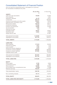# Consolidated Statement of Financial Position

AS AT 30 JUNE 2015 (UNAUDITED) AND 31 DECEMBER 2014 (AUDITED) (IN THOUSANDS OF BERMUDA DOLLARS)

|                                                 | 30 Jun 2015<br>\$           | 31 Dec 2014      |
|-------------------------------------------------|-----------------------------|------------------|
| <b>ASSETS</b>                                   |                             | \$               |
| Cash and cash equivalents                       | 84,059                      | 53,805           |
| <b>Fixed deposits</b>                           |                             | 2,021            |
| Regulatory deposits                             | 18,176                      | 18,231           |
| Investments                                     | 656,473<br>120,831<br>9,870 | 660,655          |
| Insurance receivables and other assets          |                             | 79,910           |
| Deferred policy acquisition costs               |                             | 10,118           |
| Reinsurance assets                              | 100,470                     | 89,211           |
| Investment properties<br>Property and equipment | 37,095<br>24,662            | 37,313<br>24,585 |
| Tax recoverable                                 | 1,500                       | 472              |
| Deferred tax asset                              | 113                         |                  |
| Intangible assets                               | 48,351                      | 48,001           |
| Restricted cash                                 | 13,904                      | 12,996           |
| Assets held for sale                            |                             | 97,661           |
| Total general fund assets                       | 1,115,504                   | 1,134,979        |
| Segregated funds assets                         | 657,754                     | 628,874          |
| <b>TOTAL ASSETS</b>                             | 1,773,258                   | 1,763,853        |
| <b>LIABILITIES</b>                              |                             |                  |
| <b>Other liabilities</b>                        | 117,012                     | 69,455           |
| Deferred tax liability                          | 1,077                       | 1,135            |
| Loans payable                                   | 1,446                       | 1,769            |
| Retirement benefit obligations                  | 4,315                       | 4,325            |
| Investment contract liabilities                 | 340,092                     | 336,003          |
| Insurance contract liabilities                  | 357,692                     | 363,846          |
| Liabilities held for sale                       |                             | 74,152           |
| Total general fund liabilities                  | 821,634                     | 850,685          |
| Segregated funds liabilities                    | 657,754                     | 628,874          |
| <b>TOTAL LIABILITIES</b>                        | 1,479,388                   | 1,479,559        |
| <b>EQUITY</b>                                   |                             |                  |
| Share capital                                   | 8,720                       | 8,652            |
| Contributed surplus                             | 1,482                       | 1,482            |
| Share premium                                   | 60,958                      | 60,303           |
| Accumulated other comprehensive loss            | (7,646)                     | (7,598)          |
| Retained earnings                               | 185,242                     | 177,645          |
| Total shareholders' equity                      | 248,756                     | 240,484          |
| Non-controlling interests                       | 45,114                      | 43,810           |
| <b>TOTAL EQUITY</b>                             | 293,870                     | 284,294          |
| <b>TOTAL LIABILITIES AND EQUITY</b>             | 1,773,258                   | 1,763,853        |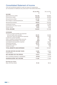# Consolidated Statement of Income

FOR THE SIX MONTHS ENDED 30 JUNE 2015 AND 2014 (UNAUDITED) (IN THOUSANDS OF BERMUDA DOLLARS EXCEPT PER SHARE AMOUNTS)

|                                           | 30 Jun 2015 | 30 Jun 2014 |
|-------------------------------------------|-------------|-------------|
| <b>INCOME</b>                             | S           |             |
| Gross premiums written                    | 181,155     | 184,694     |
| Reinsurance ceded                         | (93, 425)   | (93, 602)   |
| Net premiums written                      | 87,730      | 91,092      |
| Net change in unearned premiums           | 11,948      | 13,130      |
| Net premiums earned                       | 99,678      | 104,222     |
| Investment income                         | 2,845       | 21,355      |
| Commission and other income               | 20,405      | 19,514      |
| Rental income                             | 2,025       | 2,089       |
| <b>TOTAL INCOME</b>                       | 124,953     | 147,180     |
| <b>EXPENSES</b>                           |             |             |
| Insurance contract benefits and expenses  |             |             |
| Life and health policy benefits           | 45,191      | 62,292      |
| Short term claim and adjustment expenses  | 10,492      | 11,895      |
| Investment contract benefits              | 678         | 397         |
| Paid or credited to policyholder accounts | 616         | 1,057       |
| Participating policyholders' net income   | (397)       | (60)        |
| Commission and acquisition expense        | 15,837      | 16,277      |
| Operating expenses                        | 32,197      | 31,865      |
| Amortisation expense                      | 5,710       | 3,898       |
| Interest on loans                         | 37          | 256         |
| <b>TOTAL BENEFITS AND EXPENSES</b>        | 110,361     | 127,877     |
| <b>INCOME BEFORE INCOME TAXES</b>         | 14,592      | 19,303      |
| Income taxes                              | (919)       | (655)       |
| <b>NET INCOME FOR THE PERIOD</b>          | 13,673      | 18,648      |
| Non-controlling interests in subsidiaries | (2, 253)    | (1, 154)    |
| <b>SHAREHOLDERS' NET INCOME</b>           | 11,420      | 17,494      |
| Earnings per share:                       |             |             |
| Basic and fully diluted                   | \$1.32      | \$2.04      |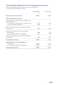# Consolidated Statement of Comprehensive Income

FOR THE SIX MONTHS ENDED 30 JUNE 2015 AND 2014 (UNAUDITED) (IN THOUSANDS OF BERMUDA DOLLARS)

|                                                                                                              | 30 Jun 2015<br>S | 30 Jun 2014<br>\$ |
|--------------------------------------------------------------------------------------------------------------|------------------|-------------------|
| Net income after income taxes                                                                                | 13,673           | 18,648            |
| Other comprehensive income                                                                                   |                  |                   |
| Items that may be subsequently reclassified to the<br>income statement                                       |                  |                   |
| Fair value loss on assets held as available for sale<br>Currency translation differences                     | 68<br>(83)       | (243)<br>21       |
| Total other comprehensive loss after income taxes<br>for the period                                          | (15)             | (222)             |
| Total other comprehensive loss attributable to:<br>Shareholders<br>Non-controlling interests in subsidiaries | (48)<br>33       | (104)<br>(118)    |
| Total other comprehensive loss after income taxes<br>for the period                                          | (15)             | (222)             |
| <b>Comprehensive income</b>                                                                                  | 13,658           | 18,426            |
| Comprehensive income attributable to:<br>Shareholders<br>Non-controlling interests in subsidiaries           | 11,372<br>2,286  | 17,390<br>1,036   |
| <b>Comprehensive income</b>                                                                                  | 13,658           | 18,426            |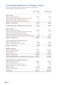# Consolidated Statement of Changes in Equity

FOR THE SIX MONTHS ENDED 30 JUNE 2015 AND 2014 (UNAUDITED) (IN THOUSANDS OF BERMUDA DOLLARS)

|                                                          | 30 Jun 2015<br>\$. | 30 Jun 2014 |
|----------------------------------------------------------|--------------------|-------------|
| Share capital                                            |                    |             |
| Balance - beginning of year                              | 8,652              | 8,558       |
| Share issuance under employee share purchase plan        | 13                 | 17          |
| Shares issued under equity incentive plan                | $\overline{a}$     |             |
| Share grants issued under equity incentive plan          | 55                 | 65          |
| <b>Balance - end of year</b>                             | 8,720              | 8,640       |
| Contributed surplus – beginning and end of year          | 1,482              | 1,482       |
| <b>Share premium</b>                                     |                    |             |
| Balance - beginning of year                              | 60,303             | 59,037      |
| Share issuance under employee share purchase plan        | 211                | 264         |
| Shares issued under equity incentive plan                |                    |             |
| Share grants issued under equity incentive plan          | 912                | 1,081       |
| Deferred share grants issued under equity incentive plan | (468)              | (631)       |
| <b>Balance - end of year</b>                             | 60,958             | 59,751      |
| Accumulated other comprehensive loss                     |                    |             |
| Balance - beginning of year                              | (7,598)            | (4,521)     |
| Other comprehensive loss for the year                    | (48)               | (104)       |
| <b>Balance - end of year</b>                             | (7,646)            | (4,625)     |
| <b>Retained earnings</b>                                 |                    |             |
| Balance - beginning of year                              | 177,645            | 163,258     |
| Net income for the year                                  | 11,420             | 17,494      |
| Cash dividends                                           | (3,823)            | (3,614)     |
| Balance – end of year                                    | 185,242            | 177,138     |
| Total equity attributable to shareholders of the company | 248,756            | 242,386     |
| Attributable to non-controlling interests                |                    |             |
| Balance - beginning of year                              | 43,810             | 43,919      |
| Net income for the year                                  | 2,253              | 1,154       |
| Other comprehensive loss for the year                    | 33                 | (118)       |
| Shares issued to non-controlling interests               | 65                 |             |
| Cash dividends                                           | (1,047)            | (1,046)     |
| Balance - end of year                                    | 45,114             | 43,909      |
| <b>Total equity</b>                                      | 293,870            | 286,295     |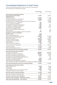# Consolidated Statement of Cash Flows

FOR THE SIX MONTHS ENDED 30 JUNE 2015 AND 2014 (UNAUDITED) (IN THOUSANDS OF BERMUDA DOLLARS)

|                                                                                       | 30 Jun 2015      | 30 Jun 2014        |
|---------------------------------------------------------------------------------------|------------------|--------------------|
|                                                                                       | S                | \$                 |
| Cash flows from operating activities                                                  |                  |                    |
| Income before income taxes                                                            | 14,592           | 19,303             |
| <b>Adjustments for:</b>                                                               |                  |                    |
| Investment income                                                                     | (10, 894)        | (11,069)           |
| Net realised (gain) loss on investments                                               | (3, 421)         | 670                |
| Change in fair value of investments                                                   | 10,703           | (14, 673)          |
| Unrealised gain on investments allocated to insurance contracts                       |                  | (2,652)            |
| Provision for losses on investments                                                   | 354<br>483       | 1,299              |
| Loss on disposal of subsidiary<br>Amortisation of property and equipment              | 1,102            | 944                |
| Amortisation of investment properties                                                 | 450              | 470                |
| Amortisation of intangible assets                                                     | 2.658            | 2.484              |
| Impairment of intangible assets                                                       | 1,500            |                    |
| Gain on sale of property and equipment                                                |                  | (3)                |
| Interest on loan                                                                      | 37               | 256                |
| Compensation expense related to shares and options                                    | 753              | 714                |
| <b>Changes in assets and liabilities:</b>                                             |                  |                    |
| Restricted cash                                                                       | (908)            |                    |
| Cash in assets held for sale                                                          | 6,123            |                    |
| Insurance receivables and other assets                                                | (40, 510)<br>248 | (24, 203)          |
| Deferred policy acquisition costs<br>Reinsurance assets                               | (10,211)         | (457)<br>(23, 817) |
| Insurance contract liabilities                                                        | (11, 818)        | 43,930             |
| Investment contract liabilities                                                       | 4,089            | 2,563              |
| Other liabilities                                                                     | 45,968           | 44,234             |
| Retirement benefit obligations                                                        | (10)             | 182                |
| Cash generated from operations                                                        | 11,288           | 40,175             |
| Income taxes paid                                                                     | (2, 118)         | (546)              |
| Interest and dividends received                                                       | 11,160           | 11,186             |
| Net cash generated from operating activities                                          | 20,330           | 50,815             |
| Cash flows from investing activities                                                  |                  |                    |
| Purchase of investments                                                               | (98,033)         | (126, 848)         |
| Proceeds from sales of investments                                                    | 122,617          | 110,248            |
| Acquisition of property and equipment                                                 | (1, 178)         | (1,261)            |
| Purchase of fixed and regulatory deposits                                             | 2,076            | 1,224              |
| Proceeds from sales of property and equipment<br>Acquisition of investment properties | (231)            | 57<br>(70)         |
| Acquisition of intangible assets                                                      | (3,007)          | (2,295)            |
| Cash proceeds from disposal of subsidiary                                             | 7,300            |                    |
| Cash disposed and deferred consideration on disposal of subsidiary (14,342)           |                  |                    |
| Net cash generated from (used for) investing activities                               | 15,202           | (18, 945)          |
| Cash flows from financing activities                                                  |                  |                    |
| Cash dividends paid                                                                   | (3,823)          | (3,614)            |
| Interest paid                                                                         | (37)             | (256)              |
| Loans repaid                                                                          | (323)            | (3,771)            |
| Cash dividends paid to non-controlling interest                                       | (1,047)          | (1,046)            |
| Proceeds on issue of common shares                                                    | 35               | 82                 |
| Net cash used for financing activities                                                | (5, 195)         | (8,605)            |
| Effect from changes in exchange rates                                                 | (83)             | 21                 |
| Increase in cash and cash equivalents                                                 | 30,254           | 23,286             |
| Cash and cash equivalents - beginning of period                                       | 53,805           | 74,032             |
| Cash and cash equivalents - end of period                                             | 84,059           | 97,318             |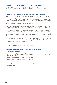FOR THE SIX MONTHS ENDED 30 JUNE 2015 AND 2014 (UNAUDITED) (IN THOUSANDS OF BERMUDA DOLLARS EXCEPT SHARE AND PER SHARE AMOUNTS)

#### 1. NATURE OF OPERATIONS AND SIGNIFICANT ACCOUNTING POLICIES

BF&M Limited (the "Group") is domiciled in Bermuda as a holding company. It has subsidiaries with operations in 17 countries, with principal offices in Bermuda, Barbados, and the Cayman Islands. The consolidated group's principal business is insurance. The Group is involved in property, casualty, motor, marine, life, health and long-term disability insurance, annuities, the management and investment of pension plans, as well as the rental of office space in buildings owned by the Group.

The Group reports under International Financial Reporting Standards ("IFRS"). These unaudited interim consolidated financial statements should be read in conjunction with the Group's 2014 consolidated financial statements, as interim financial statements do not include all the information incorporated in annual consolidated financial statements prepared in accordance with IFRS. These condensed financial statements are presented in accordance with the requirements of Section IIA of the Bermuda Stock Exchange Listing Regulations and may not comply fully with the requirements of IAS 34 - Interim Financial Reporting.

The accounting policies used in the preparation of the unaudited interim consolidated financial statements are consistent with those adopted in the 2014 consolidated financial statements except as stated in Note 2 below.

All amounts in the unaudited interim consolidated financial statements and notes are shown in thousands of Bermuda dollars unless otherwise stated.

#### 2. NEW AND REVISED ACCOUNTING POLICIES AND STANDARDS

#### 2.1. Accounting standards

The Group has adopted the following new standards and amendments to standards, including any consequential amendments to other standards, with a date of initial application of 1 January 2015.

- Annual Improvements to IFRSs 2010-2012 Cycle
- Annual Improvements to IFRSs 2011-2013 Cycle
- Amendments to IAS 19, Employee Benefits

The amendments above do not have a material impact on the Group's overall results and financial position.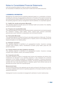FOR THE SIX MONTHS ENDED 30 JUNE 2015 AND 2014 (UNAUDITED) (IN THOUSANDS OF BERMUDA DOLLARS EXCEPT SHARE AND PER SHARE AMOUNTS)

#### 3. SEGMENTAL INFORMATION

Management has determined the operating segments based on a combination of factors, including the products and geographical areas and on the basis of the reports reviewed by the Chief Executive Officer (CEO) of the Group that are used to make strategic decisions. All the operating segments used by management meet the definition of a reportable segment.

#### 3.1. Health, life, annuity and pension (Bermuda)

This operating segment includes group and individual health and accident, life, disability, annuity and pension products.

#### 3.2. Property and casualty (Bermuda)

This operating segment includes the following products: personal and commercial property fire, windstorm, burglary, public liability, marine, special types, personal automobile, personal auto-cycle, workmen's compensation and commercial vehicles.

#### 3.3. Real estate (Bermuda)

This operating segment includes the Group's real estate operations in Bermuda. The Group currently owns and occupies one building and is a majority owner in two buildings that are leased principally to non-related parties.

#### 3.4. Barbados operations

This operating segment is identified by its geographical location. Insurance coverage includes motor, property, marine, miscellaneous accident, group health, group life, and pension business.

#### 3.5. Cayman Islands and other Caribbean operations

This operating segment is identified by its geographical location. Insurance coverage includes motor, property, marine, and casualty business.

#### 3.6. Corporate and other

Corporate operations consist of corporate level income and expenses and returns from investments not allocated to any operating segments. It also represents the combined operations of two holding companies, a management company, a financial reinsurance company, and an investment management company. The Group manages shared services centrally with most costs allocated based on adjusted capital. Some central costs are not allocated and remain within the corporate group.

#### Measurement basis

The accounting policies of the segments are the same as those for the Group as a whole. The Group evaluates performance of operating segments on the basis of profit or loss from operations before tax.

Intersegment income is recorded at management's estimate of current market prices.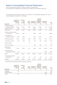FOR THE SIX MONTHS ENDED 30 JUNE 2015 AND 2014 (UNAUDITED) (IN THOUSANDS OF BERMUDA DOLLARS EXCEPT SHARE AND PER SHARE AMOUNTS)

The segmental information provided to the CEO for the reportable segments for the six months ended 30 June 2015 is as follows:

| <b>Segments</b>                                               | Health, life,<br>annuity, and<br>pension<br>\$ | Property<br>and<br>casualty<br>\$ | Real<br>estate<br>\$ | <b>Barbados</b><br>operations<br>\$ | Cayman<br>and other<br>Caribbean<br>operations<br>\$ | Corporate<br>and other<br>\$ | Total<br>\$      |
|---------------------------------------------------------------|------------------------------------------------|-----------------------------------|----------------------|-------------------------------------|------------------------------------------------------|------------------------------|------------------|
| Income earned from<br>external customers<br>Investment income | 61,479<br>508                                  | 14.921<br>16                      | 1,466                | 23.113<br>2,076                     | 21.039<br>244                                        | 90<br>1                      | 122,108<br>2,845 |
| Total income                                                  | 61.987                                         | 14.937                            | 1.466                | 25.189                              | 21.283                                               | 91                           | 124,953          |
| Insurance contract benefits<br>and expenses                   | 40,413                                         | 2,821                             |                      | 9,826                               | 2,623                                                |                              | 55,683           |
| Commission and<br>acquisition expense                         | 1,650                                          | 1,508                             |                      | 2,450                               | 10,229                                               |                              | 15,837           |
| Operating expenses                                            | 11,363                                         | 6,180                             | 386                  | 7,993                               | 4,924                                                | 1.351                        | 32,197           |
| Amortisation expense                                          | 916                                            | 666                               | 410                  | 759                                 | 330                                                  | 2,629                        | 5,710            |
| Interest expense                                              |                                                |                                   | 37                   |                                     |                                                      |                              | 37               |
| Income tax expense                                            |                                                |                                   |                      | 304                                 | 484                                                  | 131                          | 919              |
| Shareholders'<br>net income                                   | 5,401                                          | 3,798                             | 1,174                | 3,634                               | 2,615                                                | (5,202)                      | 11,420           |
| Impairment losses<br>recognised in income*                    | 354                                            |                                   |                      |                                     |                                                      | 1,500                        | 1,854            |
| <b>Assets</b>                                                 | 1,222,891                                      | 133,643                           | 36,783               | 237,089                             | 147,205                                              | (4,353)                      | 1,773,258        |
| Fixed asset & intangible<br>expenditures                      | 1,523                                          | 978                               | 53                   | 881                                 | 632                                                  | 118                          | 4,185            |
| Liabilities                                                   | 1,135,864                                      | 83,932                            | 2,506                | 161,467                             | 92,939                                               | 2,680                        | 1,479,388        |

\*The table below summarises impairment losses by asset type:

|                                | Health, life,                   | Property                                             |                                             |                 | Cayman<br>and other                                          |           |              |
|--------------------------------|---------------------------------|------------------------------------------------------|---------------------------------------------|-----------------|--------------------------------------------------------------|-----------|--------------|
| <b>Segments</b>                | annuity, and<br>pension         | and<br>casualty<br>S                                 | Real                                        |                 | Barbados Caribbean Corporate<br>estate operations operations | and other | Total<br>Ŝ.  |
| Mortgages<br>Intangible assets | 354<br>$\overline{\phantom{a}}$ | $\overline{\phantom{a}}$<br>$\overline{\phantom{a}}$ | $\overline{\phantom{a}}$<br>$\qquad \qquad$ | $\qquad \qquad$ | $\qquad \qquad$                                              | 1.500     | 354<br>1.500 |
| <b>TOTAL</b>                   | 354                             | $\overline{\phantom{0}}$                             | $\qquad \qquad$                             |                 |                                                              | 1.500     | 1.854        |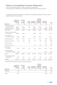FOR THE SIX MONTHS ENDED 30 JUNE 2015 AND 2014 (UNAUDITED) (IN THOUSANDS OF BERMUDA DOLLARS EXCEPT SHARE AND PER SHARE AMOUNTS)

The segmental information provided to the CEO for the reportable segments for the six months ended 30 June 2014 is as follows:

|                             | Health, life, | Property       |              |                  | Cayman<br>and other |                 |                    |
|-----------------------------|---------------|----------------|--------------|------------------|---------------------|-----------------|--------------------|
|                             | annuity, and  | and            | Real         | <b>Barbados</b>  | Caribbean           | Corporate       |                    |
| <b>Segments</b>             | pension<br>\$ | casualty<br>\$ | estate<br>\$ | operations<br>\$ | operations<br>\$    | and other<br>\$ | <b>Total</b><br>\$ |
| Income earned from          |               |                |              |                  |                     |                 |                    |
| external customers          | 66.344        | 13.921         | 1,552        | 21.051           | 22.918              | 39              | 125,825            |
| Investment income           | 19,528        | 279            |              | 2,235            | 313                 | (1,000)         | 21,355             |
| Total income                | 85.872        | 14.200         | 1.552        | 23.286           | 23.231              | (961)           | 147.180            |
| Insurance contract benefits |               |                |              |                  |                     |                 |                    |
| and expenses                | 59,023        | 2,796          |              | 11,038           | 1,330               |                 | 74,187             |
| Commission and              |               |                |              |                  |                     |                 |                    |
| acquisition expense         | 2,808         | 1,398          |              | 2,270            | 9,801               |                 | 16,277             |
| Operating expenses          | 13,275        | 5,725          | 322          | 7,771            | 4,910               | (138)           | 31,865             |
| Amortisation expense        | 763           | 534            | 405          | 733              | 259                 | 1,204           | 3,898              |
| Interest expense            |               |                | 52           |                  |                     | 204             | 256                |
| Income tax expense          |               |                |              | 145              | 264                 | 246             | 655                |
| Shareholders'               |               |                |              |                  |                     |                 |                    |
| net income                  | 7,367         | 4,156          | 787          | 649              | 5,612               | (1,077)         | 17,494             |
| <b>Impairment losses</b>    |               |                |              |                  |                     |                 |                    |
| recognised in income*       | 299           |                |              |                  |                     | 1,000           | 1,299              |
| <b>Assets</b>               | 1,266,762     | 86,804         | 24,282       | 212,536          | 161,046             | 35,365          | 1,786,795          |
| Fixed asset & intangible    |               |                |              |                  |                     |                 |                    |
| expenditures                | 1,533         | 857            | 12           | 327              | 792                 | 30              | 3,551              |
| Liabilities                 | 1,162,675     | 71,366         | 2,960        | 148,610          | 101,254             | 13,635          | 1,500,500          |

\*The table below summarises impairment losses by asset type:

| <b>Segments</b> | Health, life,<br>annuity, and<br>pension<br>S | Property<br>and<br>casualty<br>S | Real                         | Cayman<br>and other<br>Barbados Caribbean Corporate<br>estate operations operations and other |       | Total<br>\$ |
|-----------------|-----------------------------------------------|----------------------------------|------------------------------|-----------------------------------------------------------------------------------------------|-------|-------------|
| Mortgages       | 299                                           | $\qquad \qquad$                  | $\qquad \qquad$              | $\qquad \qquad$                                                                               | 1.000 | 1.299       |
| <b>TOTAL</b>    | 299                                           | $\qquad \qquad \blacksquare$     | $\qquad \qquad \blacksquare$ | $\overline{\phantom{a}}$                                                                      | 1.000 | 1.299       |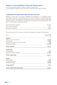FOR THE SIX MONTHS ENDED 30 JUNE 2015 AND 2014 (UNAUDITED) (IN THOUSANDS OF BERMUDA DOLLARS EXCEPT SHARE AND PER SHARE AMOUNTS)

#### 4. DISPOSITION OF ASSETS AND LIABILITIES HELD FOR SALE

Effective 13 April 2015, the Group completed the disposition of a subsidiary which specialises in insurance to international high net worth individuals via a merger transaction with a third party. The disposition included the transfer of related operating assets and liabilities, systems and employees that supported this business. Total sale proceeds were \$7,314. The loss was computed as follows:

| Gross proceeds on disposal | \$7.314 |
|----------------------------|---------|
| Less: equity at disposal   | 7.797   |
| Net (loss) on disposal     | \$(483) |

The components of the net assets included in the disposal consisted of the following:

| As at:                                 | 13 Apr 2015 |
|----------------------------------------|-------------|
|                                        | \$          |
| <b>ASSETS</b>                          |             |
| Cash and cash equivalents              | 14,386      |
| Investments                            | 77,488      |
| Insurance receivables and other assets | 700         |
| Reinsurance assets                     | (16, 376)   |
| <b>TOTAL ASSETS</b>                    | 76,198      |
| <b>LIABILITIES</b>                     |             |
| Other liabilities                      | 865         |
| Insurance contract liabilities         | 67,536      |
| <b>TOTAL LIABILITIES</b>               | 68,401      |
| <b>EQUITY</b>                          |             |
| Share capital                          | 250         |
| Contributed surplus                    | 13,176      |
| Retained earnings                      | (5,629)     |
| <b>TOTAL EQUITY</b>                    | 7,797       |
| <b>TOTAL LIABILITIES AND EQUITY</b>    | 76,198      |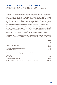FOR THE SIX MONTHS ENDED 30 JUNE 2015 AND 2014 (UNAUDITED) (IN THOUSANDS OF BERMUDA DOLLARS EXCEPT SHARE AND PER SHARE AMOUNTS)

The net assets and liabilities of the disposal group were comprised almost entirely of financial assets and liabilities that were not within the scope of the measurement requirements of IFRS 5 - Non-current Assets Held for Sale and Discontinued Operations and are therefore measured according to other relevant standards. IFRS 5 does not address the situation which arises when the carrying amount of scoped-in non-current assets are less than the amount by which a disposal group's carrying amount exceeds its fair value less costs to sell. We concluded that it is appropriate to recognise the loss on disposition at the time the transaction was completed and the related assets and liabilities were derecognised.

This subsidiary was included within our health, life, annuity and pension (Bermuda) reporting segment. The operations and cash flows of this subsidiary can be clearly distinguished, operationally and for financial reporting purposes. However, while separate, it does not represent a major line of business for the group and as a result has not been separately disclosed as discontinued operations within the consolidated statement of income.

The composition of the assets and liabilities of the disposal group classified as held for sale included in the consolidated statement of financial position as at 31 December 2014 were as follows:

|                                                                        | 2014      |
|------------------------------------------------------------------------|-----------|
|                                                                        | S         |
| <b>Assets</b>                                                          |           |
| Cash and cash equivalents                                              | 6.123     |
| Investments                                                            | 106.049   |
| Insurance receivables and other assets                                 | 799       |
| Reinsurance assets                                                     | (15, 328) |
| Intangible assets                                                      | 18        |
| <b>TOTAL Assets of disposal group classified as held for sale</b>      | 97,661    |
| Liabilities                                                            |           |
| Other liabilities                                                      | 952       |
| Insurance contract liabilities                                         | 73,200    |
| <b>TOTAL Liabilities of disposal group classified as held for sale</b> | 74.152    |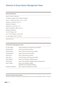### Directors & Group Senior Management Team

#### Board of Directors

Gavin R. Arton, Chairman L. Anthony Joaquin, FCA, Deputy Chairman Nancy L. Gosling, B.Comm., LL.D., C.G.A. Gregory D. Haycock, FCA, JP Stephen W. Kempe Catherine S. Lord, B.Sc., JP Garry A. Madeiros, OBE, FCA, JP Richard D. Spurling 1 Ann B. Teixeira, LLIF C.L.F. "Lee" Watchorn, FCIA, FSA R. John Wight, CPA, CA, CPCU

1 Retired April 2015

#### Group Senior Management Team

| R. John Wight        | Group President and Chief Executive Officer                       |
|----------------------|-------------------------------------------------------------------|
| Michael White        | Group Chief Financial Officer                                     |
| Abigail Clifford     | Group Chief Human Resources Officer                               |
| <b>Paul Matthews</b> | Group Chief Information Officer                                   |
| Ingrid Innes         | <b>ICBL. Chief Executive Officer</b>                              |
| Marc Shirra          | Island Heritage, Chief Executive Officer                          |
| Glen Gibbons         | Senior Vice President, BF&M General                               |
| <b>Patrick Neal</b>  | Senior Vice President, BF&M Business Development                  |
| Bryan O'Neal         | Senior Vice President, BF&M,<br>Operations and Corporate Strategy |
| Goulbourne Alleyne   | ICBL, Deputy Chief Executive Officer                              |
|                      |                                                                   |

#### Directors & Officers Share Interests

The total shares held by Directors and Officers at 30 June 2015 were 407,466 (30 June 2014 - 394,521).